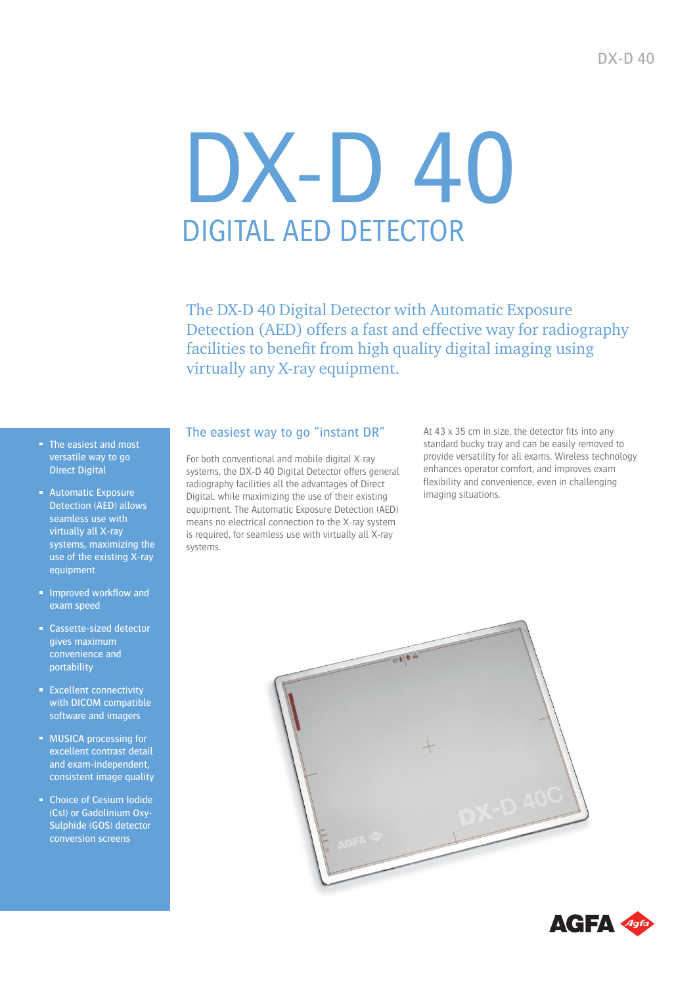# DX-D 40 DIGITAL AED DETECTOR

The DX-D 40 Digital Detector with Automatic Exposure Detection (AED) offers a fast and effective way for radiography facilities to benefit from high quality digital imaging using virtually any X-ray equipment.

- The easiest and most versatile way to go Direct Digital
- **Automatic Exposure** Detection (AED) allows seamless use with virtually all X-ray systems, maximizing the use of the existing X-ray equipment
- **Improved workflow and** exam speed
- Cassette-sized detector gives maximum convenience and portability
- **Excellent connectivity** with DICOM compatible software and imagers
- **MUSICA processing for** excellent contrast detail and exam-independent, consistent image quality
- Choice of Cesium Iodide (CsI) or Gadolinium Oxy-Sulphide (GOS) detector conversion screens

#### The easiest way to go "instant DR"

For both conventional and mobile digital X-ray systems, the DX-D 40 Digital Detector offers general radiography facilities all the advantages of Direct Digital, while maximizing the use of their existing equipment. The Automatic Exposure Detection (AED) means no electrical connection to the X-ray system is required, for seamless use with virtually all X-ray systems.

At 43 x 35 cm in size, the detector fits into any standard bucky tray and can be easily removed to provide versatility for all exams. Wireless technology enhances operator comfort, and improves exam flexibility and convenience, even in challenging imaging situations.



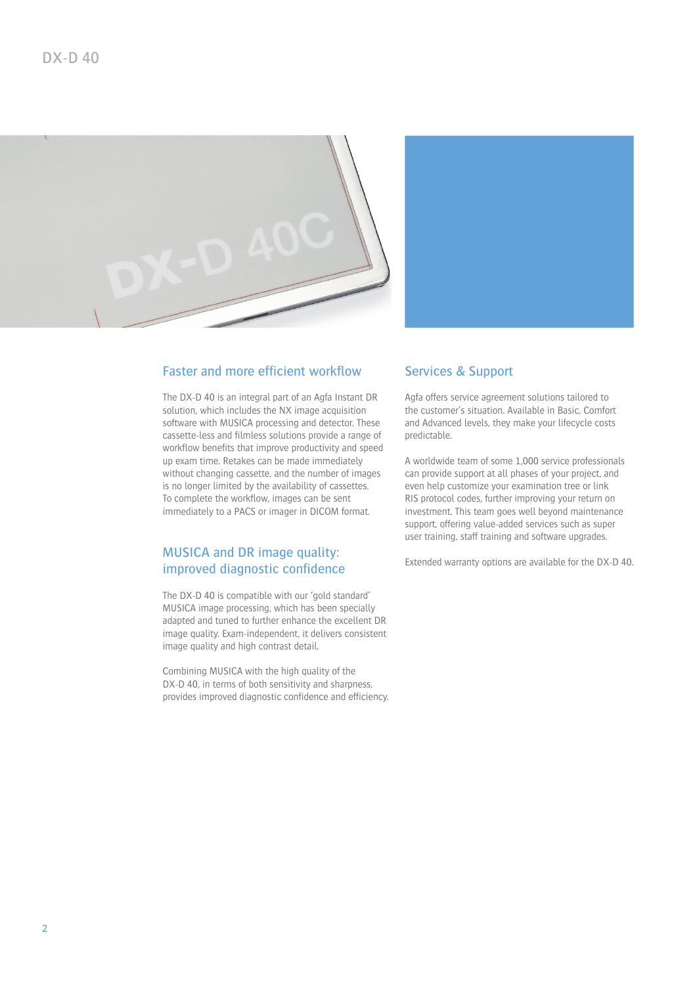

#### Faster and more efficient workflow

The DX-D 40 is an integral part of an Agfa Instant DR solution, which includes the NX image acquisition software with MUSICA processing and detector. These cassette-less and filmless solutions provide a range of workflow benefits that improve productivity and speed up exam time. Retakes can be made immediately without changing cassette, and the number of images is no longer limited by the availability of cassettes. To complete the workflow, images can be sent immediately to a PACS or imager in DICOM format.

#### MUSICA and DR image quality: improved diagnostic confidence

The DX-D 40 is compatible with our 'gold standard' MUSICA image processing, which has been specially adapted and tuned to further enhance the excellent DR image quality. Exam-independent, it delivers consistent image quality and high contrast detail.

Combining MUSICA with the high quality of the DX-D 40, in terms of both sensitivity and sharpness, provides improved diagnostic confidence and efficiency.



#### Services & Support

Agfa offers service agreement solutions tailored to the customer's situation. Available in Basic, Comfort and Advanced levels, they make your lifecycle costs predictable.

A worldwide team of some 1,000 service professionals can provide support at all phases of your project, and even help customize your examination tree or link RIS protocol codes, further improving your return on investment. This team goes well beyond maintenance support, offering value-added services such as super user training, staff training and software upgrades.

Extended warranty options are available for the DX-D 40.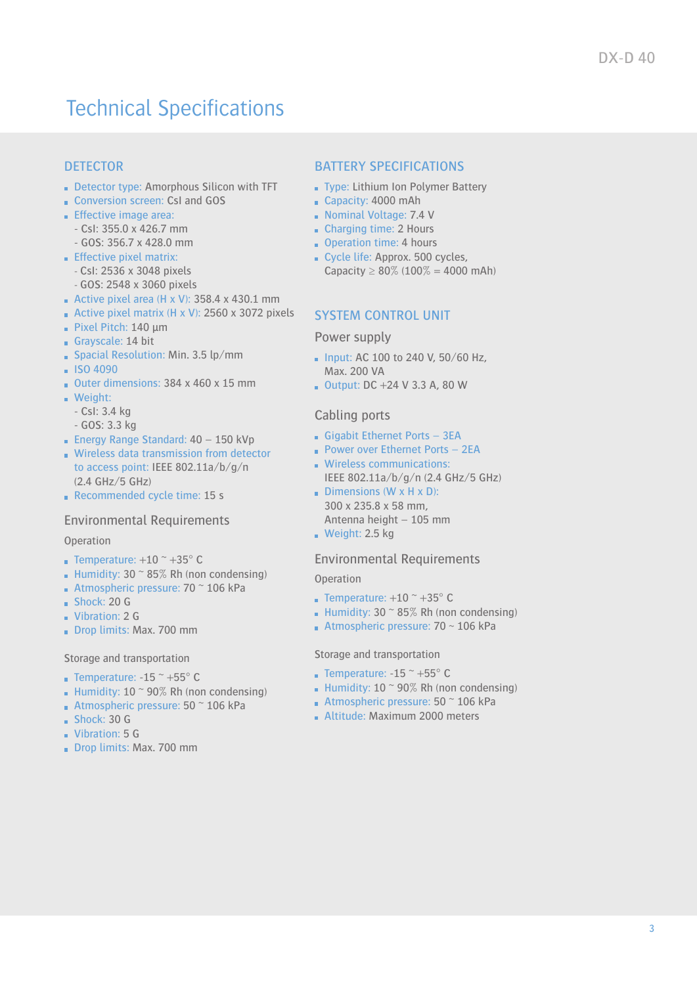## Technical Specifications

### **DETECTOR**

- Detector type: Amorphous Silicon with TFT
- Conversion screen: CsI and GOS
- **Effective image area:** 
	- CsI: 355.0 x 426.7 mm
	- GOS: 356.7 x 428.0 mm
- $E$  Effective pixel matrix:
	- CsI: 2536 x 3048 pixels
	- GOS: 2548 x 3060 pixels
- Active pixel area (H x V):  $358.4 \times 430.1 \text{ mm}$
- Active pixel matrix (H x V): 2560 x 3072 pixels
- Pixel Pitch: 140 μm
- Grayscale: 14 bit
- Spacial Resolution: Min. 3.5 lp/mm
- $-$  ISO 4090
- Outer dimensions: 384 x 460 x 15 mm
- **Weight:** 
	- CsI: 3.4 kg
	- GOS: 3.3 kg
- **Energy Range Standard: 40 150 kVp**
- Wireless data transmission from detector to access point: IEEE 802.11a/b/g/n (2.4 GHz/5 GHz)
- Recommended cycle time: 15 s

#### Environmental Requirements

#### **Operation**

- **Temperature:**  $+10$   $\degree$   $+35$  $\degree$  C
- **Humidity: 30**  $\approx$  **85% Rh (non condensing)**
- Atmospheric pressure:  $70$   $\degree$  106 kPa
- $Shock: 20 G$
- **Vibration: 2 G**
- Drop limits: Max. 700 mm

#### Storage and transportation

- 
- **Temperature: -15**  $\approx$  **+55** $\degree$  **C Humidity: 10**  $\sim$  90% Rh (non condensing)
- **Atmospheric pressure: 50**  $\degree$  **106 kPa**
- $Shock: 30 G$
- **Vibration: 5 G**
- 
- Drop limits: Max. 700 mm

#### BATTERY SPECIFICATIONS

- Type: Lithium Ion Polymer Battery
- Capacity: 4000 mAh
- Nominal Voltage: 7.4 V
- Charging time: 2 Hours
- Operation time: 4 hours
- Cycle life: Approx. 500 cycles. Capacity  $\geq 80\%$  (100% = 4000 mAh)

#### SYSTEM CONTROL UNIT

#### Power supply

- $\blacksquare$  Input: AC 100 to 240 V, 50/60 Hz, Max. 200 VA
- $\blacksquare$  Output: DC +24 V 3.3 A, 80 W

#### Cabling ports

- Gigabit Ethernet Ports 3EA
- **Power over Ethernet Ports 2EA**
- **Wireless communications:** IEEE 802.11a/b/g/n (2.4 GHz/5 GHz)
- Dimensions (W  $\times$  H  $\times$  D): 300 x 235.8 x 58 mm, Antenna height – 105 mm  $\blacksquare$  Weight: 2.5 kg

#### Environmental Requirements

**Operation** 

- **Temperature:**  $+10$   $+35^{\circ}$  C
- Humidity:  $30^\circ 85\%$  Rh (non condensing)
- **Atmospheric pressure: 70**  $\sim$  **106 kPa**

#### Storage and transportation

- **Temperature: -15**  $\approx$  **+55** $\degree$  **C**
- Humidity:  $10 \degree 90\%$  Rh (non condensing)
- **Atmospheric pressure: 50**  $\degree$  **106 kPa**
- **Altitude: Maximum 2000 meters**